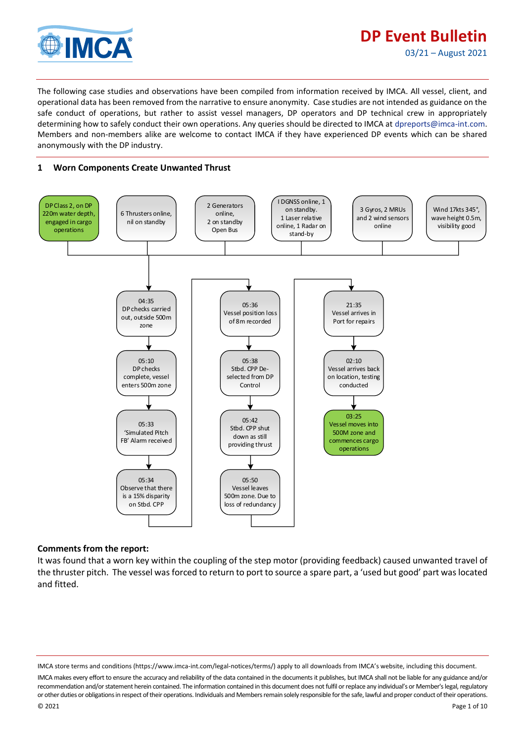

julijanski kontrol<br>ULY 1990-1991

The following case studies and observations have been compiled from information received by IMCA. All vessel, client, and operational data has been removed from the narrative to ensure anonymity. Case studies are not intended as guidance on the safe conduct of operations, but rather to assist vessel managers, DP operators and DP technical crew in appropriately determining how to safely conduct their own operations. Any queries should be directed to IMCA at [dpreports@imca-int.com.](mailto:dpreports@imca-int.com)  Members and non-members alike are welcome to contact IMCA if they have experienced DP events which can be shared anonymously with the DP industry.

## **1 Worn Components Create Unwanted Thrust**



### **Comments from the report:**

It was found that a worn key within the coupling of the step motor (providing feedback) caused unwanted travel of the thruster pitch. The vessel was forced to return to port to source a spare part, a 'used but good' part was located and fitted.

IMCA store terms and conditions (https://www.imca-int.com/legal-notices/terms/) apply to all downloads from IMCA's website, including this document.

IMCA makes every effort to ensure the accuracy and reliability of the data contained in the documents it publishes, but IMCA shall not be liable for any guidance and/or recommendation and/or statement herein contained. The information contained in this document does not fulfil or replace any individual's or Member's legal, regulatory or other duties or obligations in respect of their operations. Individuals and Members remain solely responsible for the safe, lawful and proper conduct of their operations.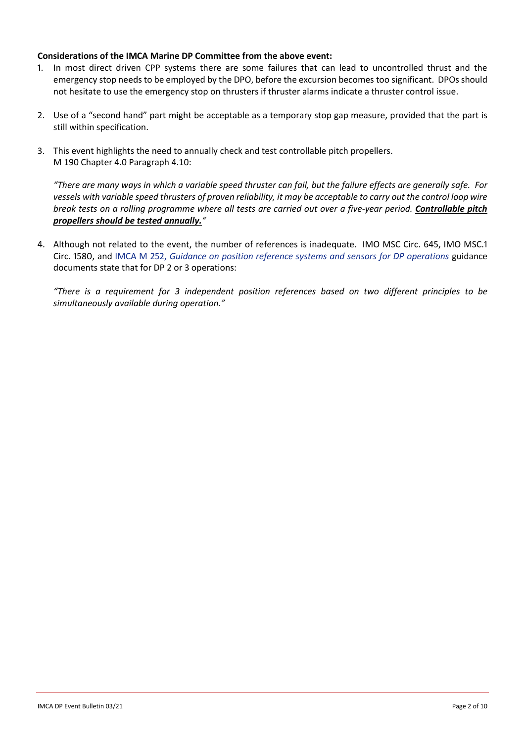### **Considerations of the IMCA Marine DP Committee from the above event:**

- 1. In most direct driven CPP systems there are some failures that can lead to uncontrolled thrust and the emergency stop needs to be employed by the DPO, before the excursion becomes too significant. DPOs should not hesitate to use the emergency stop on thrusters if thruster alarms indicate a thruster control issue.
- 2. Use of a "second hand" part might be acceptable as a temporary stop gap measure, provided that the part is still within specification.
- 3. This event highlights the need to annually check and test controllable pitch propellers. M 190 Chapter 4.0 Paragraph 4.10:

*"There are many ways in which a variable speed thruster can fail, but the failure effects are generally safe. For vessels with variable speed thrusters of proven reliability, it may be acceptable to carry out the control loop wire break tests on a rolling programme where all tests are carried out over a five-year period. Controllable pitch propellers should be tested annually."*

4. Although not related to the event, the number of references is inadequate. IMO MSC Circ. 645, IMO MSC.1 Circ. 1580, and IMCA M 252, *[Guidance on position reference systems and sensors for DP operations](https://www.imca-int.com/product/guidance-on-position-reference-systems-and-sensors-for-dp-operations/)* guidance documents state that for DP 2 or 3 operations:

*"There is a requirement for 3 independent position references based on two different principles to be simultaneously available during operation."*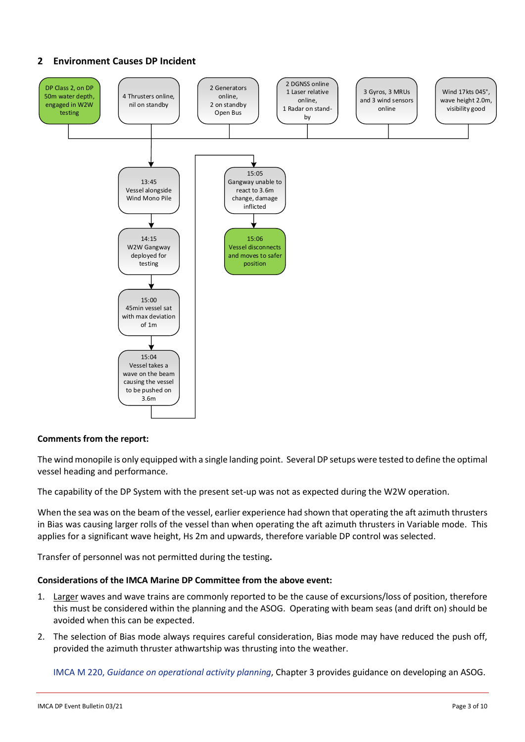# **2 Environment Causes DP Incident**



### **Comments from the report:**

The wind monopile is only equipped with a single landing point. Several DP setups were tested to define the optimal vessel heading and performance.

The capability of the DP System with the present set-up was not as expected during the W2W operation.

When the sea was on the beam of the vessel, earlier experience had shown that operating the aft azimuth thrusters in Bias was causing larger rolls of the vessel than when operating the aft azimuth thrusters in Variable mode. This applies for a significant wave height, Hs 2m and upwards, therefore variable DP control was selected.

Transfer of personnel was not permitted during the testing**.**

### **Considerations of the IMCA Marine DP Committee from the above event:**

- 1. Larger waves and wave trains are commonly reported to be the cause of excursions/loss of position, therefore this must be considered within the planning and the ASOG. Operating with beam seas (and drift on) should be avoided when this can be expected.
- 2. The selection of Bias mode always requires careful consideration, Bias mode may have reduced the push off, provided the azimuth thruster athwartship was thrusting into the weather.

IMCA M 220, *[Guidance on operational activity planning](https://www.imca-int.com/product/guidance-on-operational-activity-planning/)*, Chapter 3 provides guidance on developing an ASOG.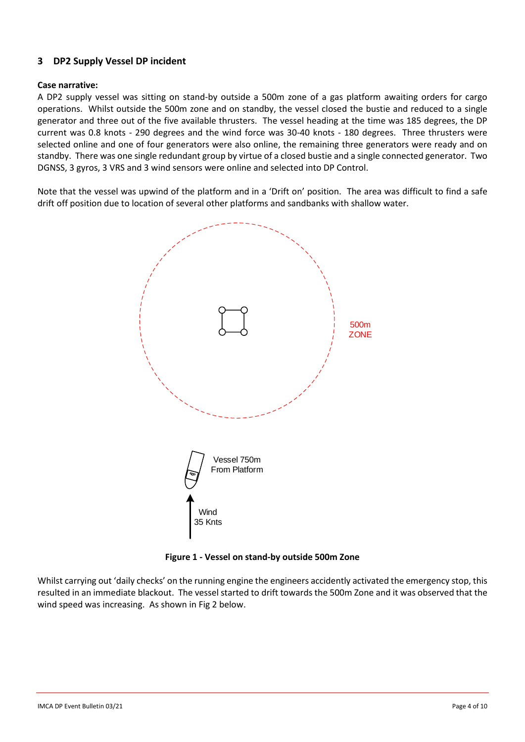## **3 DP2 Supply Vessel DP incident**

### **Case narrative:**

A DP2 supply vessel was sitting on stand-by outside a 500m zone of a gas platform awaiting orders for cargo operations. Whilst outside the 500m zone and on standby, the vessel closed the bustie and reduced to a single generator and three out of the five available thrusters. The vessel heading at the time was 185 degrees, the DP current was 0.8 knots - 290 degrees and the wind force was 30-40 knots - 180 degrees. Three thrusters were selected online and one of four generators were also online, the remaining three generators were ready and on standby. There was one single redundant group by virtue of a closed bustie and a single connected generator. Two DGNSS, 3 gyros, 3 VRS and 3 wind sensors were online and selected into DP Control.

Note that the vessel was upwind of the platform and in a 'Drift on' position. The area was difficult to find a safe drift off position due to location of several other platforms and sandbanks with shallow water.



**Figure 1 - Vessel on stand-by outside 500m Zone**

Whilst carrying out 'daily checks' on the running engine the engineers accidently activated the emergency stop, this resulted in an immediate blackout. The vessel started to drift towards the 500m Zone and it was observed that the wind speed was increasing. As shown in Fig 2 below.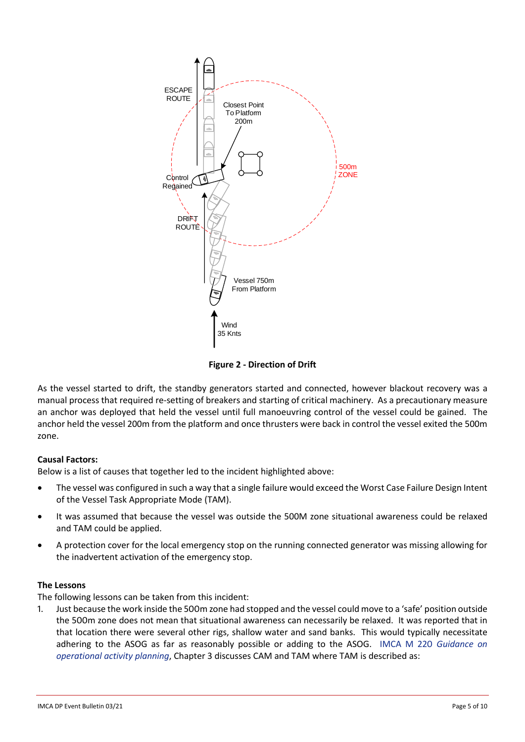

**Figure 2 - Direction of Drift**

As the vessel started to drift, the standby generators started and connected, however blackout recovery was a manual process that required re-setting of breakers and starting of critical machinery. As a precautionary measure an anchor was deployed that held the vessel until full manoeuvring control of the vessel could be gained. The anchor held the vessel 200m from the platform and once thrusters were back in control the vessel exited the 500m zone.

## **Causal Factors:**

Below is a list of causes that together led to the incident highlighted above:

- The vessel was configured in such a way that a single failure would exceed the Worst Case Failure Design Intent of the Vessel Task Appropriate Mode (TAM).
- It was assumed that because the vessel was outside the 500M zone situational awareness could be relaxed and TAM could be applied.
- A protection cover for the local emergency stop on the running connected generator was missing allowing for the inadvertent activation of the emergency stop.

### **The Lessons**

The following lessons can be taken from this incident:

1. Just because the work inside the 500m zone had stopped and the vessel could move to a 'safe' position outside the 500m zone does not mean that situational awareness can necessarily be relaxed. It was reported that in that location there were several other rigs, shallow water and sand banks. This would typically necessitate adhering to the ASOG as far as reasonably possible or adding to the ASOG. [IMCA M 220](https://www.imca-int.com/product/guidance-on-operational-activity-planning/) *Guidance on [operational activity planning](https://www.imca-int.com/product/guidance-on-operational-activity-planning/)*, Chapter 3 discusses CAM and TAM where TAM is described as: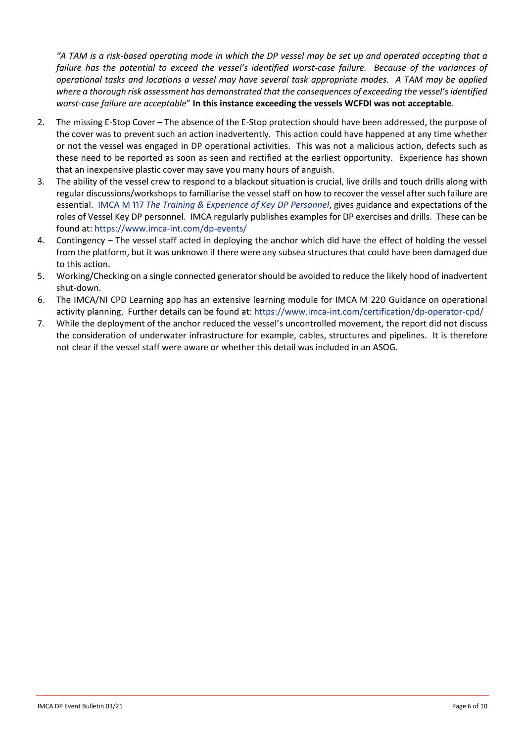*"A TAM is a risk-based operating mode in which the DP vessel may be set up and operated accepting that a failure has the potential to exceed the vessel's identified worst-case failure. Because of the variances of operational tasks and locations a vessel may have several task appropriate modes. A TAM may be applied where a thorough risk assessment has demonstrated that the consequences of exceeding the vessel's identified worst-case failure are acceptable*" **In this instance exceeding the vessels WCFDI was not acceptable**.

- 2. The missing E-Stop Cover The absence of the E-Stop protection should have been addressed, the purpose of the cover was to prevent such an action inadvertently. This action could have happened at any time whether or not the vessel was engaged in DP operational activities. This was not a malicious action, defects such as these need to be reported as soon as seen and rectified at the earliest opportunity. Experience has shown that an inexpensive plastic cover may save you many hours of anguish.
- 3. The ability of the vessel crew to respond to a blackout situation is crucial, live drills and touch drills along with regular discussions/workshops to familiarise the vessel staff on how to recover the vessel after such failure are essential. IMCA M 117 *[The Training & Experience of Key DP Personnel](https://www.imca-int.com/product/the-training-and-experience-of-key-dp-personnel/)*, gives guidance and expectations of the roles of Vessel Key DP personnel. IMCA regularly publishes examples for DP exercises and drills. These can be found at: <https://www.imca-int.com/dp-events/>
- 4. Contingency The vessel staff acted in deploying the anchor which did have the effect of holding the vessel from the platform, but it was unknown if there were any subsea structures that could have been damaged due to this action.
- 5. Working/Checking on a single connected generator should be avoided to reduce the likely hood of inadvertent shut-down.
- 6. The IMCA/NI CPD Learning app has an extensive learning module for IMCA M 220 Guidance on operational activity planning. Further details can be found at:<https://www.imca-int.com/certification/dp-operator-cpd/>
- 7. While the deployment of the anchor reduced the vessel's uncontrolled movement, the report did not discuss the consideration of underwater infrastructure for example, cables, structures and pipelines. It is therefore not clear if the vessel staff were aware or whether this detail was included in an ASOG.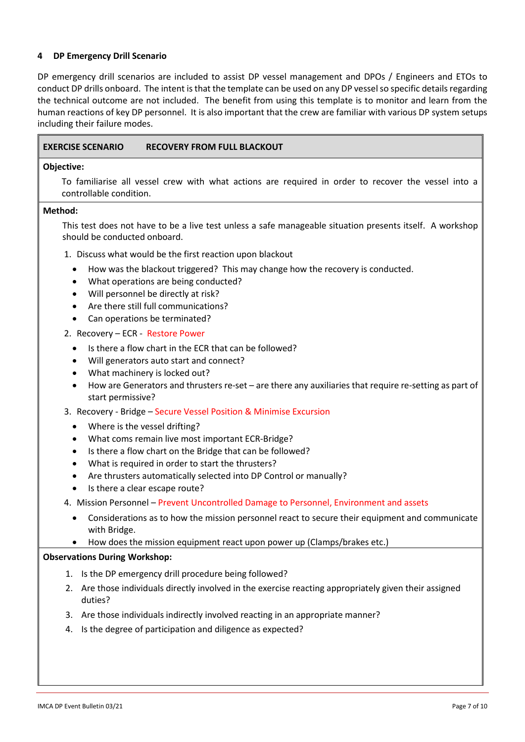### **4 DP Emergency Drill Scenario**

DP emergency drill scenarios are included to assist DP vessel management and DPOs / Engineers and ETOs to conduct DP drills onboard. The intent is that the template can be used on any DP vessel so specific details regarding the technical outcome are not included. The benefit from using this template is to monitor and learn from the human reactions of key DP personnel. It is also important that the crew are familiar with various DP system setups including their failure modes.

#### **Objective:**

To familiarise all vessel crew with what actions are required in order to recover the vessel into a controllable condition.

#### **Method:**

This test does not have to be a live test unless a safe manageable situation presents itself. A workshop should be conducted onboard.

- 1. Discuss what would be the first reaction upon blackout
	- How was the blackout triggered? This may change how the recovery is conducted.
	- What operations are being conducted?
	- Will personnel be directly at risk?
	- Are there still full communications?
	- Can operations be terminated?
- 2. Recovery ECR Restore Power
	- Is there a flow chart in the ECR that can be followed?
	- Will generators auto start and connect?
	- What machinery is locked out?
	- How are Generators and thrusters re-set are there any auxiliaries that require re-setting as part of start permissive?
- 3. Recovery Bridge Secure Vessel Position & Minimise Excursion
	- Where is the vessel drifting?
	- What coms remain live most important ECR-Bridge?
	- Is there a flow chart on the Bridge that can be followed?
	- What is required in order to start the thrusters?
	- Are thrusters automatically selected into DP Control or manually?
	- Is there a clear escape route?
- 4. Mission Personnel Prevent Uncontrolled Damage to Personnel, Environment and assets
	- Considerations as to how the mission personnel react to secure their equipment and communicate with Bridge.
	- How does the mission equipment react upon power up (Clamps/brakes etc.)

#### **Observations During Workshop:**

- 1. Is the DP emergency drill procedure being followed?
- 2. Are those individuals directly involved in the exercise reacting appropriately given their assigned duties?
- 3. Are those individuals indirectly involved reacting in an appropriate manner?
- 4. Is the degree of participation and diligence as expected?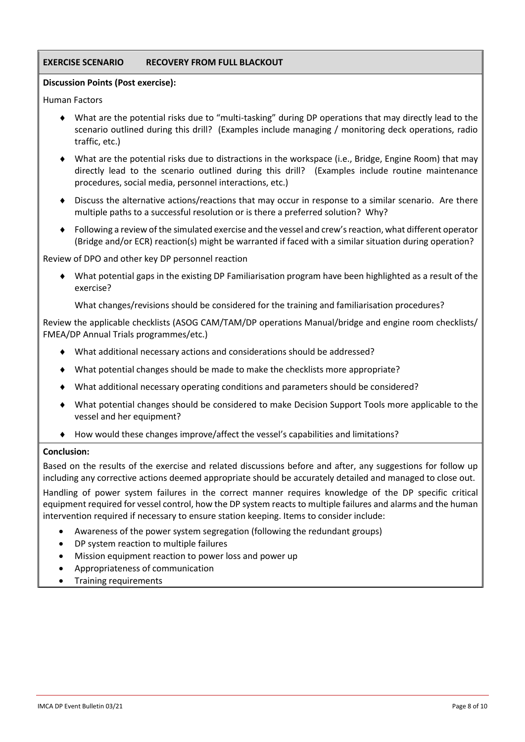## **EXERCISE SCENARIO RECOVERY FROM FULL BLACKOUT**

### **Discussion Points (Post exercise):**

Human Factors

- What are the potential risks due to "multi-tasking" during DP operations that may directly lead to the scenario outlined during this drill? (Examples include managing / monitoring deck operations, radio traffic, etc.)
- What are the potential risks due to distractions in the workspace (i.e., Bridge, Engine Room) that may directly lead to the scenario outlined during this drill? (Examples include routine maintenance procedures, social media, personnel interactions, etc.)
- Discuss the alternative actions/reactions that may occur in response to a similar scenario. Are there multiple paths to a successful resolution or is there a preferred solution? Why?
- Following a review of the simulated exercise and the vessel and crew's reaction, what different operator (Bridge and/or ECR) reaction(s) might be warranted if faced with a similar situation during operation?

Review of DPO and other key DP personnel reaction

 What potential gaps in the existing DP Familiarisation program have been highlighted as a result of the exercise?

What changes/revisions should be considered for the training and familiarisation procedures?

Review the applicable checklists (ASOG CAM/TAM/DP operations Manual/bridge and engine room checklists/ FMEA/DP Annual Trials programmes/etc.)

- What additional necessary actions and considerations should be addressed?
- What potential changes should be made to make the checklists more appropriate?
- What additional necessary operating conditions and parameters should be considered?
- What potential changes should be considered to make Decision Support Tools more applicable to the vessel and her equipment?
- How would these changes improve/affect the vessel's capabilities and limitations?

### **Conclusion:**

Based on the results of the exercise and related discussions before and after, any suggestions for follow up including any corrective actions deemed appropriate should be accurately detailed and managed to close out.

Handling of power system failures in the correct manner requires knowledge of the DP specific critical equipment required for vessel control, how the DP system reacts to multiple failures and alarms and the human intervention required if necessary to ensure station keeping. Items to consider include:

- Awareness of the power system segregation (following the redundant groups)
- DP system reaction to multiple failures
- Mission equipment reaction to power loss and power up
- Appropriateness of communication
- Training requirements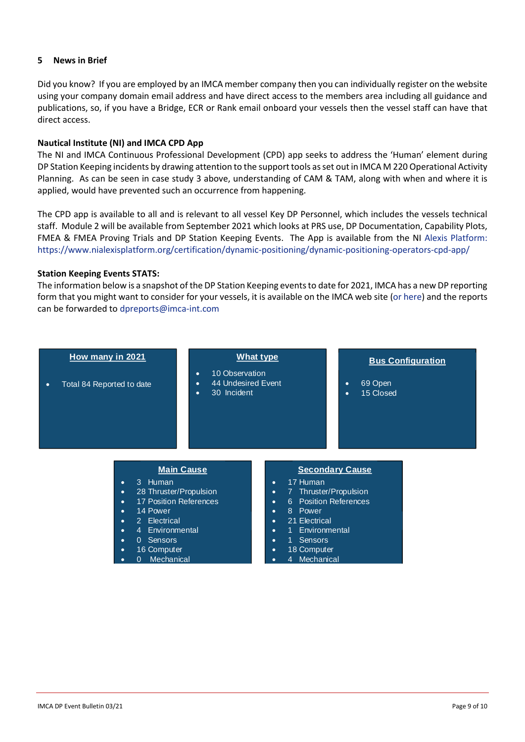### **5 News in Brief**

Did you know? If you are employed by an IMCA member company then you can individually register on the website using your company domain email address and have direct access to the members area including all guidance and publications, so, if you have a Bridge, ECR or Rank email onboard your vessels then the vessel staff can have that direct access.

#### **Nautical Institute (NI) and IMCA CPD App**

The NI and IMCA Continuous Professional Development (CPD) app seeks to address the 'Human' element during DP Station Keeping incidents by drawing attention to the support tools as set out in IMCA M 220 Operational Activity Planning. As can be seen in case study 3 above, understanding of CAM & TAM, along with when and where it is applied, would have prevented such an occurrence from happening.

The CPD app is available to all and is relevant to all vessel Key DP Personnel, which includes the vessels technical staff. Module 2 will be available from September 2021 which looks at PRS use, DP Documentation, Capability Plots, FMEA & FMEA Proving Trials and DP Station Keeping Events. The App is available from the NI [Alexis Platform:](Alexis%20Platform:%20https:/www.nialexisplatform.org/certification/dynamic-positioning/dynamic-positioning-operators-cpd-app/)  [https://www.nialexisplatform.org/certification/dynamic-positioning/dynamic-positioning-operators-cpd-app/](Alexis%20Platform:%20https:/www.nialexisplatform.org/certification/dynamic-positioning/dynamic-positioning-operators-cpd-app/)

#### **Station Keeping Events STATS:**

The information below is a snapshot of the DP Station Keeping events to date for 2021, IMCA has a new DP reporting form that you might want to consider for your vessels, it is available on the IMCA web site [\(or here\)](https://www.imca-int.com/dp-events-and-incidents/) and the reports can be forwarded to [dpreports@imca-int.com](mailto:dpreports@imca-int.com)